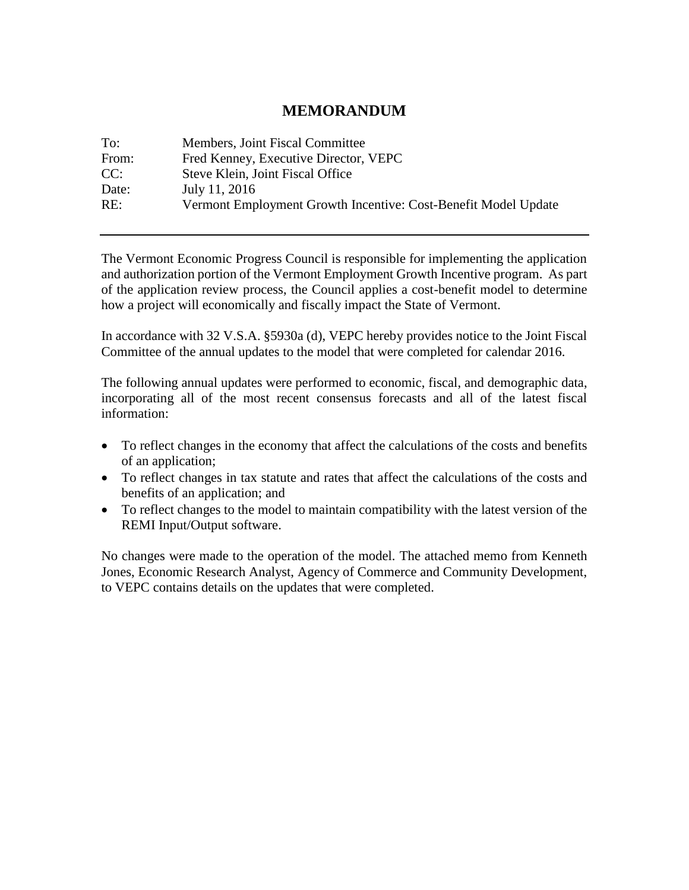#### **MEMORANDUM**

| To:   | Members, Joint Fiscal Committee                                |
|-------|----------------------------------------------------------------|
| From: | Fred Kenney, Executive Director, VEPC                          |
| CC:   | Steve Klein, Joint Fiscal Office                               |
| Date: | July 11, 2016                                                  |
| RE:   | Vermont Employment Growth Incentive: Cost-Benefit Model Update |

The Vermont Economic Progress Council is responsible for implementing the application and authorization portion of the Vermont Employment Growth Incentive program. As part of the application review process, the Council applies a cost-benefit model to determine how a project will economically and fiscally impact the State of Vermont.

In accordance with 32 V.S.A. §5930a (d), VEPC hereby provides notice to the Joint Fiscal Committee of the annual updates to the model that were completed for calendar 2016.

The following annual updates were performed to economic, fiscal, and demographic data, incorporating all of the most recent consensus forecasts and all of the latest fiscal information:

- To reflect changes in the economy that affect the calculations of the costs and benefits of an application;
- To reflect changes in tax statute and rates that affect the calculations of the costs and benefits of an application; and
- To reflect changes to the model to maintain compatibility with the latest version of the REMI Input/Output software.

No changes were made to the operation of the model. The attached memo from Kenneth Jones, Economic Research Analyst, Agency of Commerce and Community Development, to VEPC contains details on the updates that were completed.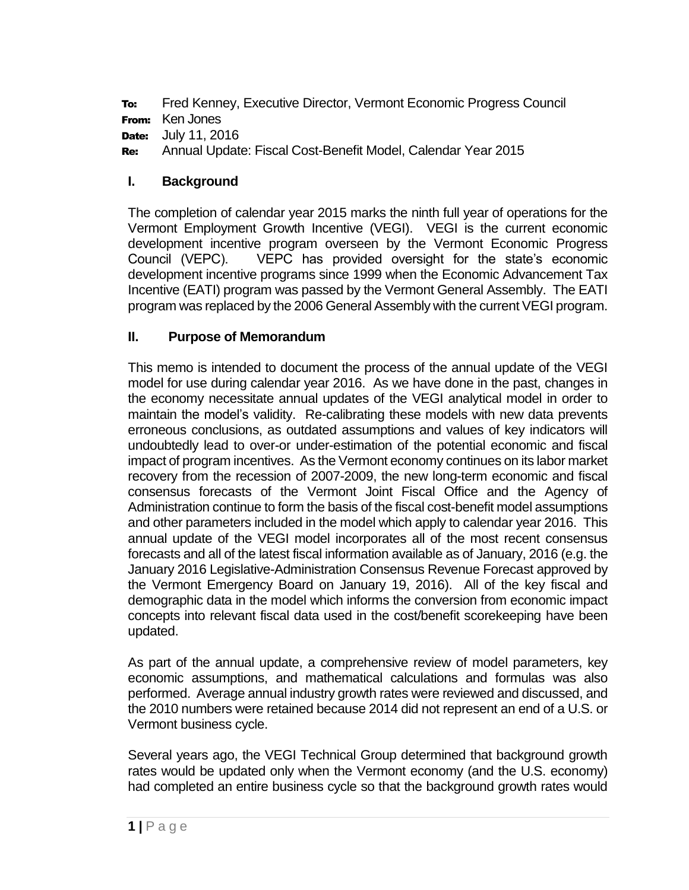To: Fred Kenney, Executive Director, Vermont Economic Progress Council From: Ken Jones

**Date:** July 11, 2016

Re: Annual Update: Fiscal Cost-Benefit Model, Calendar Year 2015

## **I. Background**

The completion of calendar year 2015 marks the ninth full year of operations for the Vermont Employment Growth Incentive (VEGI). VEGI is the current economic development incentive program overseen by the Vermont Economic Progress Council (VEPC). VEPC has provided oversight for the state's economic development incentive programs since 1999 when the Economic Advancement Tax Incentive (EATI) program was passed by the Vermont General Assembly. The EATI program was replaced by the 2006 General Assembly with the current VEGI program.

## **II. Purpose of Memorandum**

This memo is intended to document the process of the annual update of the VEGI model for use during calendar year 2016. As we have done in the past, changes in the economy necessitate annual updates of the VEGI analytical model in order to maintain the model's validity. Re-calibrating these models with new data prevents erroneous conclusions, as outdated assumptions and values of key indicators will undoubtedly lead to over-or under-estimation of the potential economic and fiscal impact of program incentives. As the Vermont economy continues on its labor market recovery from the recession of 2007-2009, the new long-term economic and fiscal consensus forecasts of the Vermont Joint Fiscal Office and the Agency of Administration continue to form the basis of the fiscal cost-benefit model assumptions and other parameters included in the model which apply to calendar year 2016. This annual update of the VEGI model incorporates all of the most recent consensus forecasts and all of the latest fiscal information available as of January, 2016 (e.g. the January 2016 Legislative-Administration Consensus Revenue Forecast approved by the Vermont Emergency Board on January 19, 2016). All of the key fiscal and demographic data in the model which informs the conversion from economic impact concepts into relevant fiscal data used in the cost/benefit scorekeeping have been updated.

As part of the annual update, a comprehensive review of model parameters, key economic assumptions, and mathematical calculations and formulas was also performed. Average annual industry growth rates were reviewed and discussed, and the 2010 numbers were retained because 2014 did not represent an end of a U.S. or Vermont business cycle.

Several years ago, the VEGI Technical Group determined that background growth rates would be updated only when the Vermont economy (and the U.S. economy) had completed an entire business cycle so that the background growth rates would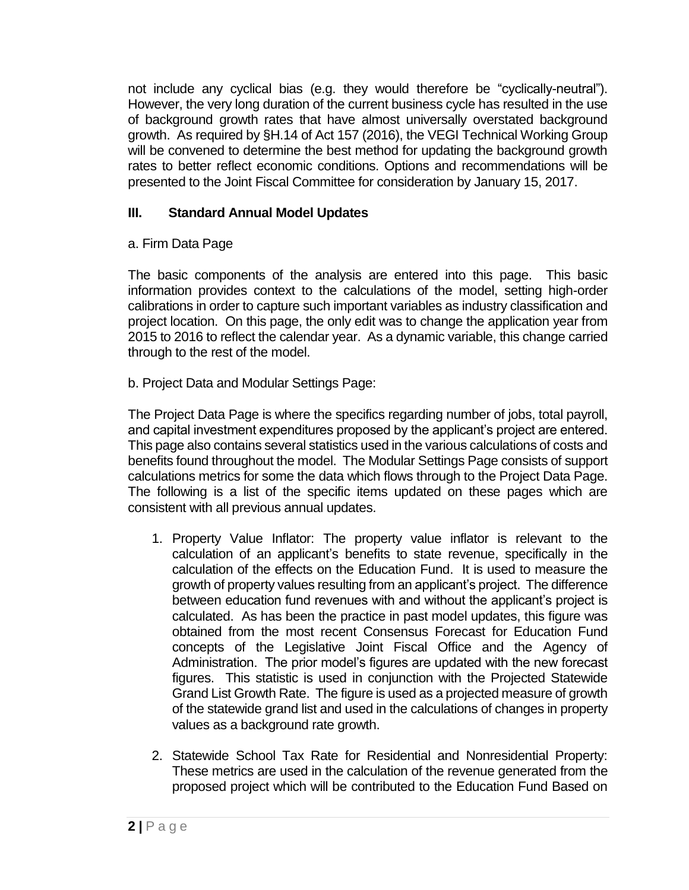not include any cyclical bias (e.g. they would therefore be "cyclically-neutral"). However, the very long duration of the current business cycle has resulted in the use of background growth rates that have almost universally overstated background growth. As required by §H.14 of Act 157 (2016), the VEGI Technical Working Group will be convened to determine the best method for updating the background growth rates to better reflect economic conditions. Options and recommendations will be presented to the Joint Fiscal Committee for consideration by January 15, 2017.

# **III. Standard Annual Model Updates**

## a. Firm Data Page

The basic components of the analysis are entered into this page. This basic information provides context to the calculations of the model, setting high-order calibrations in order to capture such important variables as industry classification and project location. On this page, the only edit was to change the application year from 2015 to 2016 to reflect the calendar year. As a dynamic variable, this change carried through to the rest of the model.

b. Project Data and Modular Settings Page:

The Project Data Page is where the specifics regarding number of jobs, total payroll, and capital investment expenditures proposed by the applicant's project are entered. This page also contains several statistics used in the various calculations of costs and benefits found throughout the model. The Modular Settings Page consists of support calculations metrics for some the data which flows through to the Project Data Page. The following is a list of the specific items updated on these pages which are consistent with all previous annual updates.

- 1. Property Value Inflator: The property value inflator is relevant to the calculation of an applicant's benefits to state revenue, specifically in the calculation of the effects on the Education Fund. It is used to measure the growth of property values resulting from an applicant's project. The difference between education fund revenues with and without the applicant's project is calculated. As has been the practice in past model updates, this figure was obtained from the most recent Consensus Forecast for Education Fund concepts of the Legislative Joint Fiscal Office and the Agency of Administration. The prior model's figures are updated with the new forecast figures. This statistic is used in conjunction with the Projected Statewide Grand List Growth Rate. The figure is used as a projected measure of growth of the statewide grand list and used in the calculations of changes in property values as a background rate growth.
- 2. Statewide School Tax Rate for Residential and Nonresidential Property: These metrics are used in the calculation of the revenue generated from the proposed project which will be contributed to the Education Fund Based on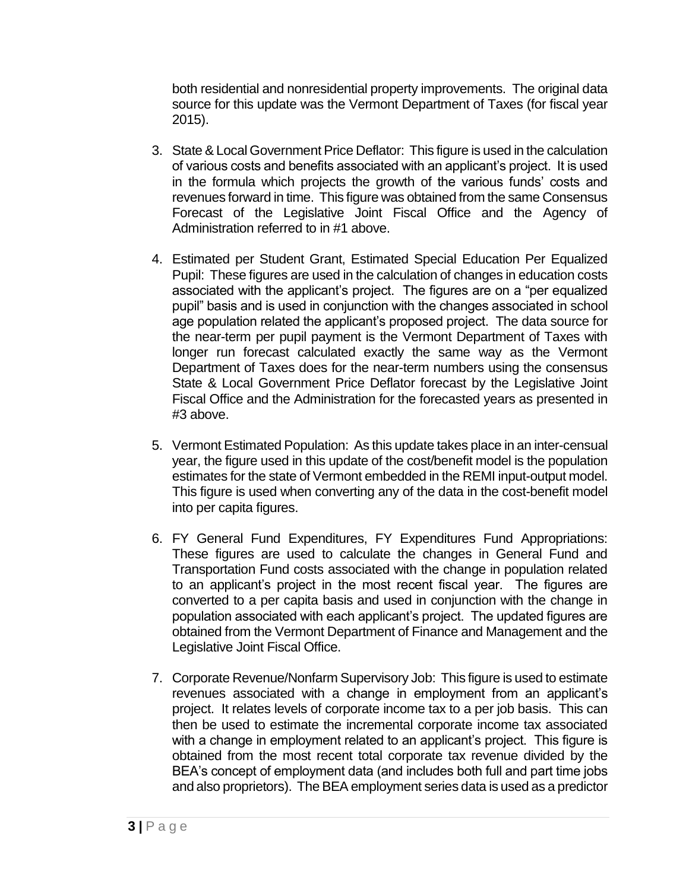both residential and nonresidential property improvements. The original data source for this update was the Vermont Department of Taxes (for fiscal year 2015).

- 3. State & Local Government Price Deflator: This figure is used in the calculation of various costs and benefits associated with an applicant's project. It is used in the formula which projects the growth of the various funds' costs and revenues forward in time. This figure was obtained from the same Consensus Forecast of the Legislative Joint Fiscal Office and the Agency of Administration referred to in #1 above.
- 4. Estimated per Student Grant, Estimated Special Education Per Equalized Pupil: These figures are used in the calculation of changes in education costs associated with the applicant's project. The figures are on a "per equalized pupil" basis and is used in conjunction with the changes associated in school age population related the applicant's proposed project. The data source for the near-term per pupil payment is the Vermont Department of Taxes with longer run forecast calculated exactly the same way as the Vermont Department of Taxes does for the near-term numbers using the consensus State & Local Government Price Deflator forecast by the Legislative Joint Fiscal Office and the Administration for the forecasted years as presented in #3 above.
- 5. Vermont Estimated Population: As this update takes place in an inter-censual year, the figure used in this update of the cost/benefit model is the population estimates for the state of Vermont embedded in the REMI input-output model. This figure is used when converting any of the data in the cost-benefit model into per capita figures.
- 6. FY General Fund Expenditures, FY Expenditures Fund Appropriations: These figures are used to calculate the changes in General Fund and Transportation Fund costs associated with the change in population related to an applicant's project in the most recent fiscal year. The figures are converted to a per capita basis and used in conjunction with the change in population associated with each applicant's project. The updated figures are obtained from the Vermont Department of Finance and Management and the Legislative Joint Fiscal Office.
- 7. Corporate Revenue/Nonfarm Supervisory Job: This figure is used to estimate revenues associated with a change in employment from an applicant's project. It relates levels of corporate income tax to a per job basis. This can then be used to estimate the incremental corporate income tax associated with a change in employment related to an applicant's project. This figure is obtained from the most recent total corporate tax revenue divided by the BEA's concept of employment data (and includes both full and part time jobs and also proprietors). The BEA employment series data is used as a predictor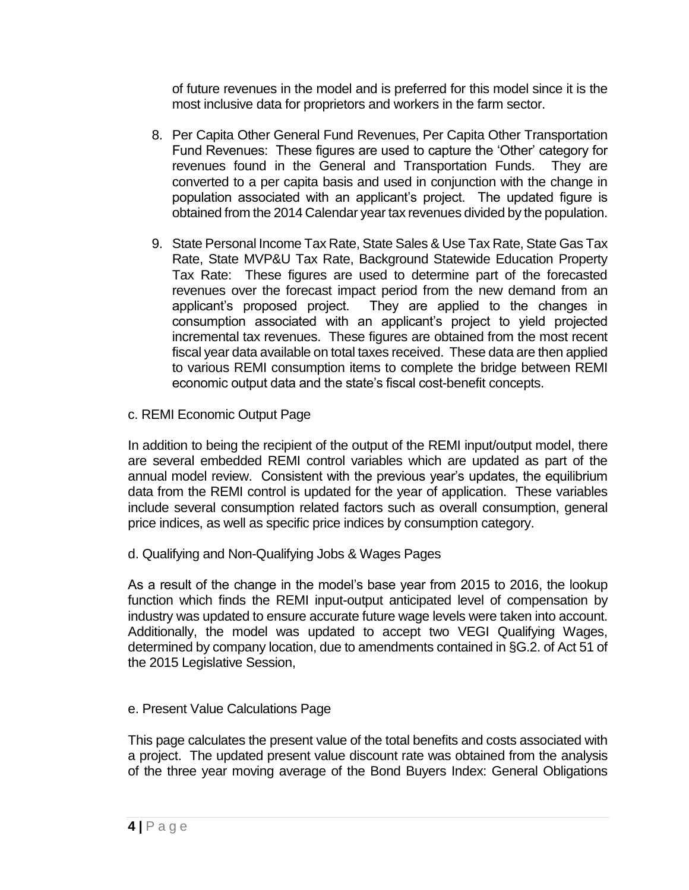of future revenues in the model and is preferred for this model since it is the most inclusive data for proprietors and workers in the farm sector.

- 8. Per Capita Other General Fund Revenues, Per Capita Other Transportation Fund Revenues: These figures are used to capture the 'Other' category for revenues found in the General and Transportation Funds. They are converted to a per capita basis and used in conjunction with the change in population associated with an applicant's project. The updated figure is obtained from the 2014 Calendar year tax revenues divided by the population.
- 9. State Personal Income Tax Rate, State Sales & Use Tax Rate, State Gas Tax Rate, State MVP&U Tax Rate, Background Statewide Education Property Tax Rate: These figures are used to determine part of the forecasted revenues over the forecast impact period from the new demand from an applicant's proposed project. They are applied to the changes in consumption associated with an applicant's project to yield projected incremental tax revenues. These figures are obtained from the most recent fiscal year data available on total taxes received. These data are then applied to various REMI consumption items to complete the bridge between REMI economic output data and the state's fiscal cost-benefit concepts.
- c. REMI Economic Output Page

In addition to being the recipient of the output of the REMI input/output model, there are several embedded REMI control variables which are updated as part of the annual model review. Consistent with the previous year's updates, the equilibrium data from the REMI control is updated for the year of application. These variables include several consumption related factors such as overall consumption, general price indices, as well as specific price indices by consumption category.

d. Qualifying and Non-Qualifying Jobs & Wages Pages

As a result of the change in the model's base year from 2015 to 2016, the lookup function which finds the REMI input-output anticipated level of compensation by industry was updated to ensure accurate future wage levels were taken into account. Additionally, the model was updated to accept two VEGI Qualifying Wages, determined by company location, due to amendments contained in §G.2. of Act 51 of the 2015 Legislative Session,

e. Present Value Calculations Page

This page calculates the present value of the total benefits and costs associated with a project. The updated present value discount rate was obtained from the analysis of the three year moving average of the Bond Buyers Index: General Obligations